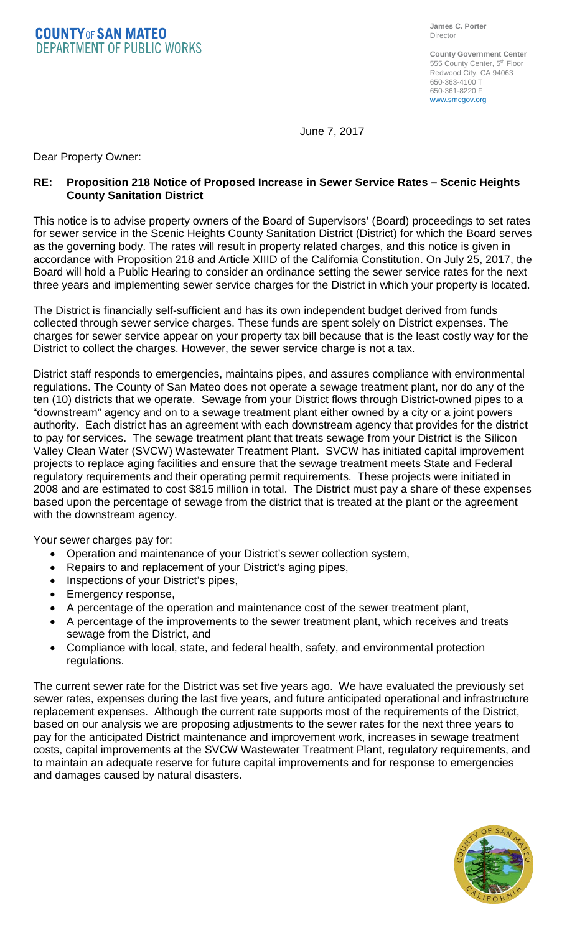**COUNTYOF SAN MATEO DEPARTMENT OF PUBLIC WORKS** 

**County Government Center** 555 County Center, 5<sup>th</sup> Floor Redwood City, CA 94063 650-363-4100 T 650-361-8220 F www.smcgov.org

June 7, 2017

Dear Property Owner:

## **RE: Proposition 218 Notice of Proposed Increase in Sewer Service Rates – Scenic Heights County Sanitation District**

This notice is to advise property owners of the Board of Supervisors' (Board) proceedings to set rates for sewer service in the Scenic Heights County Sanitation District (District) for which the Board serves as the governing body. The rates will result in property related charges, and this notice is given in accordance with Proposition 218 and Article XIIID of the California Constitution. On July 25, 2017, the Board will hold a Public Hearing to consider an ordinance setting the sewer service rates for the next three years and implementing sewer service charges for the District in which your property is located.

The District is financially self-sufficient and has its own independent budget derived from funds collected through sewer service charges. These funds are spent solely on District expenses. The charges for sewer service appear on your property tax bill because that is the least costly way for the District to collect the charges. However, the sewer service charge is not a tax.

District staff responds to emergencies, maintains pipes, and assures compliance with environmental regulations. The County of San Mateo does not operate a sewage treatment plant, nor do any of the ten (10) districts that we operate. Sewage from your District flows through District-owned pipes to a "downstream" agency and on to a sewage treatment plant either owned by a city or a joint powers authority. Each district has an agreement with each downstream agency that provides for the district to pay for services. The sewage treatment plant that treats sewage from your District is the Silicon Valley Clean Water (SVCW) Wastewater Treatment Plant. SVCW has initiated capital improvement projects to replace aging facilities and ensure that the sewage treatment meets State and Federal regulatory requirements and their operating permit requirements. These projects were initiated in 2008 and are estimated to cost \$815 million in total. The District must pay a share of these expenses based upon the percentage of sewage from the district that is treated at the plant or the agreement with the downstream agency.

Your sewer charges pay for:

- Operation and maintenance of your District's sewer collection system,
- Repairs to and replacement of your District's aging pipes,
- Inspections of your District's pipes,
- Emergency response,
- A percentage of the operation and maintenance cost of the sewer treatment plant,
- A percentage of the improvements to the sewer treatment plant, which receives and treats sewage from the District, and
- Compliance with local, state, and federal health, safety, and environmental protection regulations.

The current sewer rate for the District was set five years ago. We have evaluated the previously set sewer rates, expenses during the last five years, and future anticipated operational and infrastructure replacement expenses. Although the current rate supports most of the requirements of the District, based on our analysis we are proposing adjustments to the sewer rates for the next three years to pay for the anticipated District maintenance and improvement work, increases in sewage treatment costs, capital improvements at the SVCW Wastewater Treatment Plant, regulatory requirements, and to maintain an adequate reserve for future capital improvements and for response to emergencies and damages caused by natural disasters.